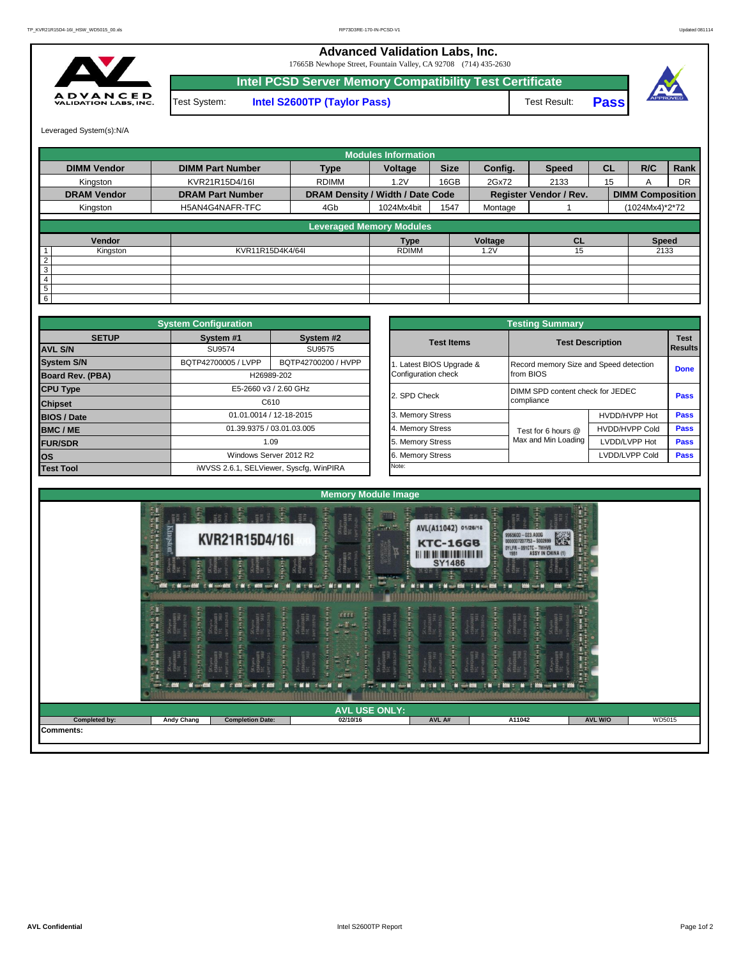## **Advanced Validation Labs, Inc.**

17665B Newhope Street, Fountain Valley, CA 92708 (714) 435-2630



**Intel PCSD Server Memory Compatibility Test Certificate Pass** Test System: **Intel S2600TP (Taylor Pass)** Test Result:



Leveraged System(s):N/A

|                    |                         |                                  | <b>Modules Information</b> |             |         |                               |           |                         |           |
|--------------------|-------------------------|----------------------------------|----------------------------|-------------|---------|-------------------------------|-----------|-------------------------|-----------|
| <b>DIMM Vendor</b> | <b>DIMM Part Number</b> | <b>Type</b>                      | Voltage                    | <b>Size</b> | Config. | <b>Speed</b>                  | <b>CL</b> | R/C                     | Rank      |
| Kingston           | KVR21R15D4/16I          | <b>RDIMM</b>                     | 1.2V                       | 16GB        | 2Gx72   | 2133                          | 15        | A                       | <b>DR</b> |
| <b>DRAM Vendor</b> | <b>DRAM Part Number</b> | DRAM Density / Width / Date Code |                            |             |         | <b>Register Vendor / Rev.</b> |           | <b>DIMM Composition</b> |           |
| Kingston           | H5AN4G4NAFR-TFC         | 4Gb                              | 1024Mx4bit                 | 1547        | Montage |                               |           | (1024Mx4)*2*72          |           |
|                    |                         | <b>Leveraged Memory Modules</b>  |                            |             |         |                               |           |                         |           |
| Vendor             |                         |                                  | <b>Type</b>                |             | Voltage | <b>CL</b>                     |           | <b>Speed</b>            |           |
| Kingston           | KVR11R15D4K4/64I        |                                  | <b>RDIMM</b>               |             | .2V     | 15                            |           | 2133                    |           |
| $\overline{2}$     |                         |                                  |                            |             |         |                               |           |                         |           |
| 3                  |                         |                                  |                            |             |         |                               |           |                         |           |
| 4                  |                         |                                  |                            |             |         |                               |           |                         |           |
| 5                  |                         |                                  |                            |             |         |                               |           |                         |           |
| 6                  |                         |                                  |                            |             |         |                               |           |                         |           |

|                    | <b>System Configuration</b> |                                         |                       | <b>Testing Summary</b>                 |                                  |             |  |
|--------------------|-----------------------------|-----------------------------------------|-----------------------|----------------------------------------|----------------------------------|-------------|--|
| <b>SETUP</b>       | System #1                   | System #2                               | <b>Test Items</b>     |                                        | <b>Test Description</b>          | <b>Test</b> |  |
| <b>AVL S/N</b>     | SU9574                      | SU9575                                  |                       |                                        | Results                          |             |  |
| <b>System S/N</b>  | BQTP42700005 / LVPP         | BQTP42700200 / HVPP                     | Latest BIOS Upgrade & | Record memory Size and Speed detection |                                  | <b>Done</b> |  |
| Board Rev. (PBA)   |                             | H26989-202                              | Configuration check   | from BIOS                              |                                  |             |  |
| <b>CPU Type</b>    | E5-2660 v3 / 2.60 GHz       |                                         | 2. SPD Check          |                                        | DIMM SPD content check for JEDEC |             |  |
| <b>Chipset</b>     | C610                        |                                         |                       | compliance                             |                                  | Pass        |  |
| <b>BIOS / Date</b> |                             | 01.01.0014 / 12-18-2015                 | 3. Memory Stress      |                                        | HVDD/HVPP Hot                    | <b>Pass</b> |  |
| <b>BMC/ME</b>      |                             | 01.39.9375 / 03.01.03.005               | 4. Memory Stress      | Test for 6 hours @                     | <b>HVDD/HVPP Cold</b>            | <b>Pass</b> |  |
| <b>FUR/SDR</b>     |                             | 1.09                                    | 5. Memory Stress      | Max and Min Loading                    | LVDD/LVPP Hot                    | <b>Pass</b> |  |
| <b>los</b>         |                             | Windows Server 2012 R2                  | 6. Memory Stress      |                                        | LVDD/LVPP Cold                   | Pass        |  |
| <b>Test Tool</b>   |                             | iWVSS 2.6.1, SELViewer, Syscfq, WinPIRA | Note:                 |                                        |                                  |             |  |

|                  | <b>System Configuration</b> |                                         |                       | <b>Testing Summary</b>                 |                       |             |  |  |
|------------------|-----------------------------|-----------------------------------------|-----------------------|----------------------------------------|-----------------------|-------------|--|--|
| <b>SETUP</b>     | System #1                   | System #2                               | <b>Test Items</b>     | <b>Test Description</b>                |                       | <b>Test</b> |  |  |
| SU9574<br>SU9575 |                             |                                         |                       |                                        | <b>Results</b>        |             |  |  |
|                  | BQTP42700005 / LVPP         | BQTP42700200 / HVPP                     | Latest BIOS Upgrade & | Record memory Size and Speed detection |                       |             |  |  |
| PBA)             |                             | H26989-202                              | Configuration check   | from BIOS                              |                       | <b>Done</b> |  |  |
|                  |                             | E5-2660 v3 / 2.60 GHz                   | 2. SPD Check          | DIMM SPD content check for JEDEC       |                       |             |  |  |
|                  |                             | C610                                    |                       | compliance                             |                       |             |  |  |
|                  |                             | 01.01.0014 / 12-18-2015                 | 3. Memory Stress      |                                        | HVDD/HVPP Hot         | Pass        |  |  |
|                  |                             | 01.39.9375 / 03.01.03.005               | 4. Memory Stress      | Test for 6 hours @                     | <b>HVDD/HVPP Cold</b> | Pass        |  |  |
|                  |                             | 1.09                                    | 5. Memory Stress      | Max and Min Loading                    | LVDD/LVPP Hot         | Pass        |  |  |
|                  |                             | Windows Server 2012 R2                  | 6. Memory Stress      |                                        | LVDD/LVPP Cold        | Pass        |  |  |
|                  |                             | iWVSS 2.6.1, SELViewer, Syscfq, WinPIRA | Note:                 |                                        |                       |             |  |  |

|                                                                        |                                                                                  | <b>Memory Module Image</b>                                                                                                            |                                                                                                            |                                                                                                             |                   |
|------------------------------------------------------------------------|----------------------------------------------------------------------------------|---------------------------------------------------------------------------------------------------------------------------------------|------------------------------------------------------------------------------------------------------------|-------------------------------------------------------------------------------------------------------------|-------------------|
| <b><i>HAN HAND</i></b><br>P.<br><b>Kingston</b><br>Ţ<br>re<br>Fil      | $\frac{1}{2}$<br>$\mathfrak{T}_\mathfrak{h}$<br>EE 9<br>KVR21R15D4/16I<br>ł<br>氰 | difference.<br>NGE<br>$\frac{1}{2}$ and $\frac{1}{2}$<br><b>Hander</b><br>$\frac{1}{2}$<br>affin<br>SKhynix<br>HSAMGHAIFR<br>TEC 547V | <b>TA</b><br>품론 중<br>AVL(A11042) 01/26/16<br><b>KTC-16GB</b><br><b>HI III III IIII IIII IIII</b><br>SY1486 | <b>ERS</b><br>9965600 - 023.A00G<br>0000007207753 - 5002699<br>OYLFR-091CTC-TWHV6<br>1551 ASSY IN CHINA (1) | H<br>ar 1         |
| <b>C. Microsoft C. M. condition</b><br>医白细胞 重型電話<br><b>1951 (1964)</b> | <b>THE THIS WAY</b><br><b>CREATIVE</b><br>11101111<br><b>Region</b>              | <b>Mathematics</b><br><b>MITH-HEAD MONEY</b><br>am<br>afa                                                                             | W : Merchill : Merchill<br>men                                                                             | <b>SERIES</b><br><b>AND THE OWNER</b><br>计字符                                                                | 雪                 |
|                                                                        | (1, 0, 0, 0, 0, 0)<br>AGANIFR<br>SANG<br><b>ENGINER</b><br>- 4                   | <b>Travell M</b><br>a teatr                                                                                                           | EdWARD<br>Edward<br><b>NIKK N</b><br>$\blacksquare$                                                        | 0.1444<br>the street<br><b>CARGARED</b><br><b>HH</b><br>Ш<br>---                                            |                   |
|                                                                        |                                                                                  | <b>AVL USE ONLY:</b>                                                                                                                  |                                                                                                            |                                                                                                             |                   |
| <b>Andy Chang</b>                                                      | <b>Completion Date:</b>                                                          | 02/10/16                                                                                                                              | AVL A#                                                                                                     | A11042                                                                                                      | AVL W/O<br>WD5015 |